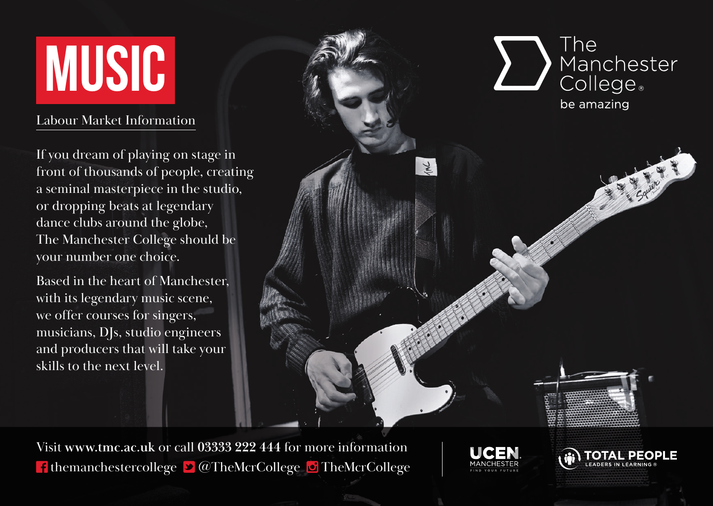## **MUSIC**

## Labour Market Information

If you dream of playing on stage in front of thousands of people, creating a seminal masterpiece in the studio, or dropping beats at legendary dance clubs around the globe, The Manchester College should be your number one choice.

Based in the heart of Manchester, with its legendary music scene, we offer courses for singers, musicians, DJs, studio engineers and producers that will take your skills to the next level.



Visit **www.tmc.ac.uk** or call **03333 222 444** for more information **f** themanchestercollege  $\bullet$   $\bullet$  TheMcrCollege  $\bullet$  TheMcrCollege